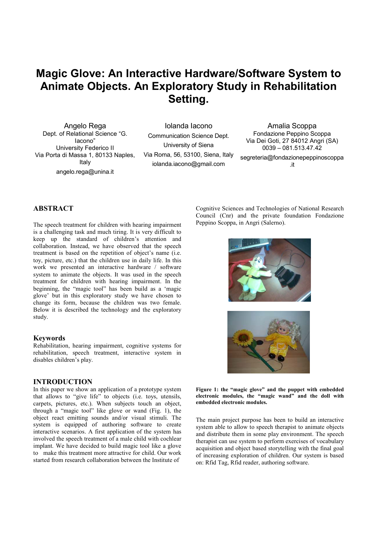# **Magic Glove: An Interactive Hardware/Software System to Animate Objects. An Exploratory Study in Rehabilitation Setting.**

Angelo Rega Dept. of Relational Science "G. Iacono" University Federico II Via Porta di Massa 1, 80133 Naples, Italy angelo.rega@unina.it

Iolanda Iacono Communication Science Dept. University of Siena Via Roma, 56, 53100, Siena, Italy iolanda.iacono@gmail.com

Amalia Scoppa Fondazione Peppino Scoppa Via Dei Goti, 27 84012 Angri (SA) 0039 – 081.513.47.42 segreteria@fondazionepeppinoscoppa .it

# **ABSTRACT**

The speech treatment for children with hearing impairment is a challenging task and much tiring. It is very difficult to keep up the standard of children's attention and collaboration. Instead, we have observed that the speech treatment is based on the repetition of object's name (i.e. toy, picture, etc.) that the children use in daily life. In this work we presented an interactive hardware / software system to animate the objects. It was used in the speech treatment for children with hearing impairment. In the beginning, the "magic tool" has been build as a 'magic glove' but in this exploratory study we have chosen to change its form, because the children was two female. Below it is described the technology and the exploratory study.

## **Keywords**

Rehabilitation, hearing impairment, cognitive systems for rehabilitation, speech treatment, interactive system in disables children's play.

## **INTRODUCTION**

In this paper we show an application of a prototype system that allows to "give life" to objects (i.e. toys, utensils, carpets, pictures, etc.). When subjects touch an object, through a "magic tool" like glove or wand (Fig. 1), the object react emitting sounds and/or visual stimuli. The system is equipped of authoring software to create interactive scenarios. A first application of the system has involved the speech treatment of a male child with cochlear implant. We have decided to build magic tool like a glove to make this treatment more attractive for child. Our work started from research collaboration between the Institute of

Cognitive Sciences and Technologies of National Research Council (Cnr) and the private foundation Fondazione Peppino Scoppa, in Angri (Salerno).





**Figure 1: the "magic glove" and the puppet with embedded electronic modules, the "magic wand" and the doll with embedded electronic modules.** 

The main project purpose has been to build an interactive system able to allow to speech therapist to animate objects and distribute them in some play environment. The speech therapist can use system to perform exercises of vocabulary acquisition and object based storytelling with the final goal of increasing exploration of children. Our system is based on: Rfid Tag, Rfid reader, authoring software.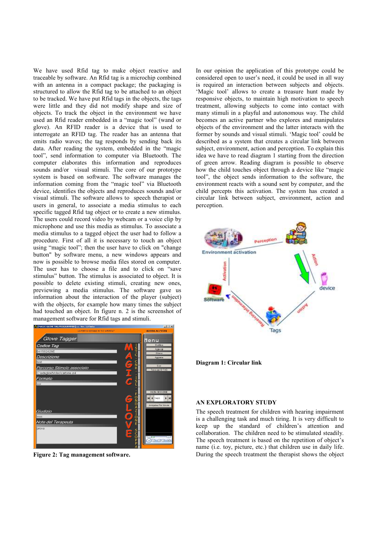We have used Rfid tag to make object reactive and traceable by software. An Rfid tag is a microchip combined with an antenna in a compact package; the packaging is structured to allow the Rfid tag to be attached to an object to be tracked. We have put Rfid tags in the objects, the tags were little and they did not modify shape and size of objects. To track the object in the environment we have used an Rfid reader embedded in a "magic tool" (wand or glove). An RFID reader is a device that is used to interrogate an RFID tag. The reader has an antenna that emits radio waves; the tag responds by sending back its data. After reading the system, embedded in the "magic tool", send information to computer via Bluetooth. The computer elaborates this information and reproduces sounds and/or visual stimuli. The core of our prototype system is based on software. The software manages the information coming from the "magic tool" via Bluetooth device, identifies the objects and reproduces sounds and/or visual stimuli. The software allows to speech therapist or users in general, to associate a media stimulus to each specific tagged Rfid tag object or to create a new stimulus. The users could record video by webcam or a voice clip by microphone and use this media as stimulus. To associate a media stimulus to a tagged object the user had to follow a procedure. First of all it is necessary to touch an object using "magic tool"; then the user have to click on "change button" by software menu, a new windows appears and now is possible to browse media files stored on computer. The user has to choose a file and to click on "save stimulus" button. The stimulus is associated to object. It is possible to delete existing stimuli, creating new ones, previewing a media stimulus. The software gave us information about the interaction of the player (subject) with the objects, for example how many times the subject had touched an object. In figure n. 2 is the screenshot of management software for Rfid tags and stimuli.



**Figure 2: Tag management software.** 

In our opinion the application of this prototype could be considered open to user's need, it could be used in all way is required an interaction between subjects and objects. 'Magic tool' allows to create a treasure hunt made by responsive objects, to maintain high motivation to speech treatment, allowing subjects to come into contact with many stimuli in a playful and autonomous way. The child becomes an active partner who explores and manipulates objects of the environment and the latter interacts with the former by sounds and visual stimuli. 'Magic tool' could be described as a system that creates a circular link between subject, environment, action and perception. To explain this idea we have to read diagram 1 starting from the direction of green arrow. Reading diagram is possible to observe how the child touches object through a device like "magic tool", the object sends information to the software, the environment reacts with a sound sent by computer, and the child percepts this activation. The system has created a circular link between subject, environment, action and perception.



**Diagram 1: Circular link** 

# **AN EXPLORATORY STUDY**

The speech treatment for children with hearing impairment is a challenging task and much tiring. It is very difficult to keep up the standard of children's attention and collaboration. The children need to be stimulated steadily. The speech treatment is based on the repetition of object's name (i.e. toy, picture, etc.) that children use in daily life. During the speech treatment the therapist shows the object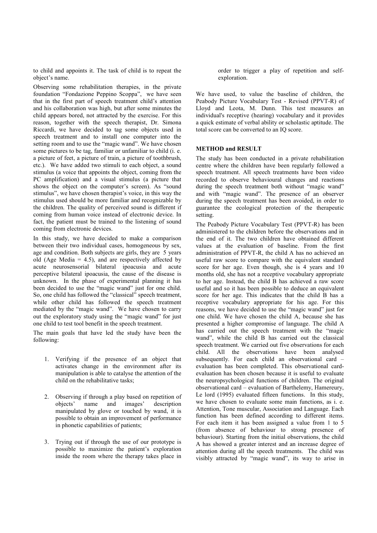to child and appoints it. The task of child is to repeat the object's name.

Observing some rehabilitation therapies, in the private foundation "Fondazione Peppino Scoppa", we have seen that in the first part of speech treatment child's attention and his collaboration was high, but after some minutes the child appears bored, not attracted by the exercise. For this reason, together with the speech therapist, Dr. Simona Riccardi, we have decided to tag some objects used in speech treatment and to install one computer into the setting room and to use the "magic wand". We have chosen some pictures to be tag, familiar or unfamiliar to child (i. e. a picture of feet, a picture of train, a picture of toothbrush, etc.). We have added two stimuli to each object, a sound stimulus (a voice that appoints the object, coming from the PC amplification) and a visual stimulus (a picture that shows the object on the computer's screen). As "sound stimulus", we have chosen therapist's voice, in this way the stimulus used should be more familiar and recognizable by the children. The quality of perceived sound is different if coming from human voice instead of electronic device. In fact, the patient must be trained to the listening of sound coming from electronic devices.

In this study, we have decided to make a comparison between their two individual cases, homogeneous by sex, age and condition. Both subjects are girls, they are 5 years old (Age Media  $= 4.5$ ), and are respectively affected by acute neurosensorial bilateral ipoacusia and acute perceptive bilateral ipoacusia, the cause of the disease is unknown. In the phase of experimental planning it has been decided to use the "magic wand" just for one child. So, one child has followed the "classical" speech treatment, while other child has followed the speech treatment mediated by the "magic wand". We have chosen to carry out the exploratory study using the "magic wand" for just one child to test tool benefit in the speech treatment.

The main goals that have led the study have been the following:

- 1. Verifying if the presence of an object that activates change in the environment after its manipulation is able to catalyse the attention of the child on the rehabilitative tasks;
- 2. Observing if through a play based on repetition of objects' name and images' description manipulated by glove or touched by wand, it is possible to obtain an improvement of performance in phonetic capabilities of patients;
- 3. Trying out if through the use of our prototype is possible to maximize the patient's exploration inside the room where the therapy takes place in

order to trigger a play of repetition and selfexploration.

We have used, to value the baseline of children, the Peabody Picture Vocabulary Test - Revised (PPVT-R) of Lloyd and Leota, M. Dunn. This test measures an individual's receptive (hearing) vocabulary and it provides a quick estimate of verbal ability or scholastic aptitude. The total score can be converted to an IQ score.

# **METHOD and RESULT**

The study has been conducted in a private rehabilitation centre where the children have been regularly followed a speech treatment. All speech treatments have been video recorded to observe behavioural changes and reactions during the speech treatment both without "magic wand" and with "magic wand". The presence of an observer during the speech treatment has been avoided, in order to guarantee the ecological protection of the therapeutic setting.

The Peabody Picture Vocabulary Test (PPVT-R) has been administered to the children before the observations and in the end of it. The two children have obtained different values at the evaluation of baseline. From the first administration of PPVT-R, the child A has no achieved an useful raw score to compare with the equivalent standard score for her age. Even though, she is 4 years and 10 months old, she has not a receptive vocabulary appropriate to her age. Instead, the child B has achieved a raw score useful and so it has been possible to deduce an equivalent score for her age. This indicates that the child B has a receptive vocabulary appropriate for his age. For this reasons, we have decided to use the "magic wand" just for one child. We have chosen the child A, because she has presented a higher compromise of language. The child A has carried out the speech treatment with the "magic wand", while the child B has carried out the classical speech treatment. We carried out five observations for each child. All the observations have been analysed subsequently. For each child an observational card – evaluation has been completed. This observational cardevaluation has been chosen because it is useful to evaluate the neuropsychological functions of children. The original observational card – evaluation of Barthelemy, Hamereury, Le lord (1995) evaluated fifteen functions. In this study, we have chosen to evaluate some main functions, as i. e. Attention, Tone muscular, Association and Language. Each function has been defined according to different items. For each item it has been assigned a value from 1 to 5 (from absence of behaviour to strong presence of behaviour). Starting from the initial observations, the child A has showed a greater interest and an increase degree of attention during all the speech treatments. The child was visibly attracted by "magic wand", its way to arise in